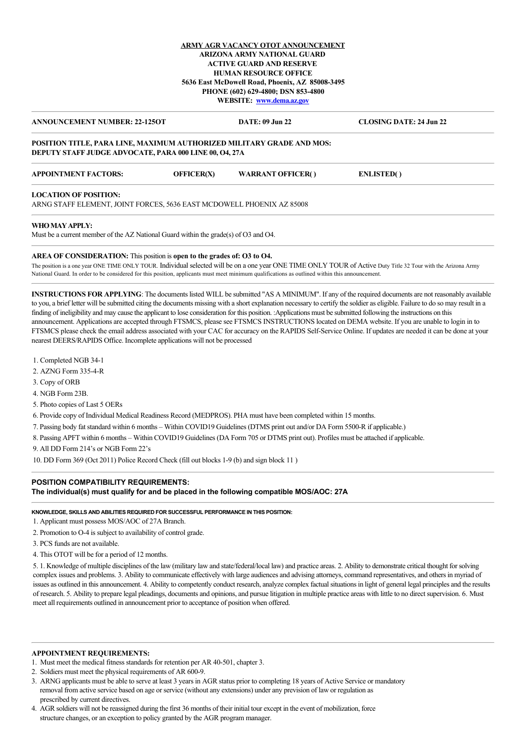## **ARMY AGR VACANCY OTOT ANNOUNCEMENT ARIZONA ARMY NATIONAL GUARD ACTIVE GUARD AND RESERVE HUMAN RESOURCE OFFICE 5636 East McDowell Road, Phoenix, AZ 85008-3495 PHONE (602) 629-4800; DSN 853-4800 WEBSITE: [www.dema.az.gov](http://www.dema.az.gov/)**

# **ANNOUNCEMENT NUMBER: 22-125OT DATE: 09 Jun 22 CLOSING DATE: 24 Jun 22**

### **POSITION TITLE, PARA LINE, MAXIMUM AUTHORIZED MILITARY GRADE AND MOS: DEPUTY STAFF JUDGE ADVOCATE, PARA 000 LINE 00, O4, 27A**

| <b>APPOINTMENT FACTORS:</b> | OFFICER(X) | <b>WARRANT OFFICER()</b> | <b>ENLISTED()</b> |
|-----------------------------|------------|--------------------------|-------------------|
|                             |            |                          |                   |

#### **LOCATION OF POSITION:**

ARNG STAFF ELEMENT, JOINT FORCES, 5636 EAST MCDOWELL PHOENIX AZ 85008

#### **WHO MAY APPLY:**

Must be a current member of the AZ National Guard within the grade(s) of O3 and O4.

### **AREA OF CONSIDERATION:** This position is **open to the grades of: O3 to O4.**

The position is a one year ONE TIME ONLY TOUR. Individual selected will be on a one year ONE TIME ONLY TOUR of Active Duty Title 32 Tour with the Arizona Army National Guard. In order to be considered for this position, applicants must meet minimum qualifications as outlined within this announcement.

**INSTRUCTIONS FOR APPLYING**: The documents listed WILL be submitted "AS A MINIMUM". If any of the required documents are not reasonably available to you, a brief letter will be submitted citing the documents missing with a short explanation necessary to certify the soldier as eligible. Failure to do so may result in a finding of ineligibility and may cause the applicant to lose consideration for this position. :Applications must be submitted following the instructions on this announcement. Applications are accepted through FTSMCS, please see FTSMCS INSTRUCTIONS located on DEMA website. If you are unable to login in to FTSMCS please check the email address associated with your CAC for accuracy on the RAPIDS Self-Service Online. If updates are needed it can be done at your nearest DEERS/RAPIDS Office. Incomplete applications will not be processed

1. Completed NGB 34-1

- 2. AZNG Form 335-4-R
- 3. Copy of ORB
- 4. NGB Form 23B.
- 5. Photo copies of Last 5 OERs

6. Provide copy of Individual Medical Readiness Record (MEDPROS). PHA must have been completed within 15 months.

7. Passing body fat standard within 6 months – Within COVID19 Guidelines (DTMS print out and/or DA Form 5500-R if applicable.)

8. Passing APFT within 6 months – Within COVID19 Guidelines (DA Form 705 or DTMS print out). Profiles must be attached if applicable.

9. All DD Form 214's or NGB Form 22's

10. DD Form 369 (Oct 2011) Police Record Check (fill out blocks 1-9 (b) and sign block 11 )

#### **POSITION COMPATIBILITY REQUIREMENTS:**

**The individual(s) must qualify for and be placed in the following compatible MOS/AOC: 27A**

#### **KNOWLEDGE, SKILLS AND ABILITIES REQUIRED FOR SUCCESSFUL PERFORMANCE IN THIS POSITION:**

- 1. Applicant must possess MOS/AOC of 27A Branch.
- 2. Promotion to O-4 is subject to availability of control grade.

3. PCS funds are not available.

4. This OTOT will be for a period of 12 months.

5. 1. Knowledge of multiple disciplines of the law (military law and state/federal/local law) and practice areas. 2. Ability to demonstrate critical thought for solving complex issues and problems. 3. Ability to communicate effectively with large audiences and advising attorneys, command representatives, and others in myriad of issues as outlined in this announcement. 4. Ability to competently conduct research, analyze complex factual situations in light of general legal principles and the results of research. 5. Ability to prepare legal pleadings, documents and opinions, and pursue litigation in multiple practice areas with little to no direct supervision. 6. Must meet all requirements outlined in announcement prior to acceptance of position when offered.

#### **APPOINTMENT REQUIREMENTS:**

- 1. Must meet the medical fitness standards for retention per AR 40-501, chapter 3.
- 2. Soldiers must meet the physical requirements of AR 600-9.
- 3. ARNG applicants must be able to serve at least 3 years in AGR status prior to completing 18 years of Active Service or mandatory removal from active service based on age or service (without any extensions) under any prevision of law or regulation as prescribed by current directives.
- 4. AGR soldiers will not be reassigned during the first 36 months of their initial tour except in the event of mobilization, force structure changes, or an exception to policy granted by the AGR program manager.